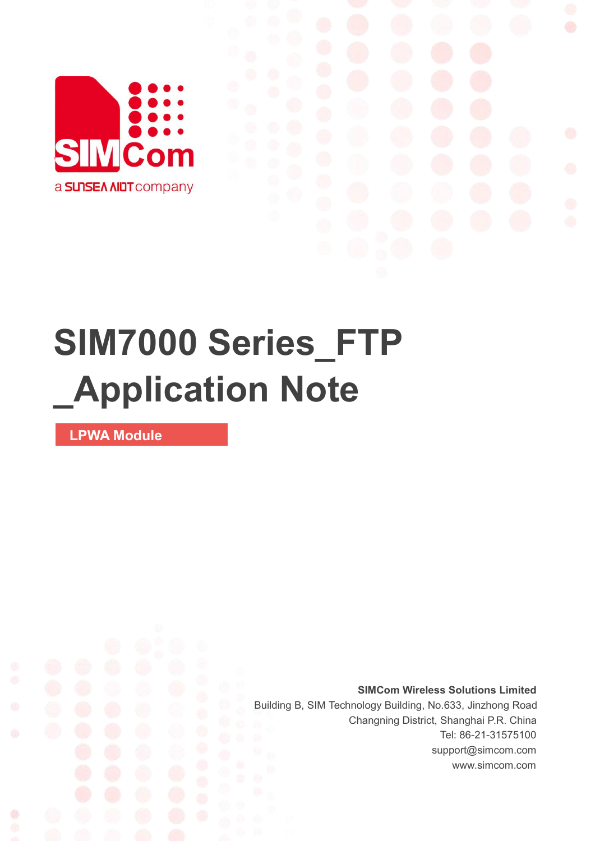

## **SIM7000 Series\_FTP \_Application Note**

**LPWA Module**

Ø

**SIMCom Wireless Solutions Limited** Building B, SIM Technology Building, No.633, Jinzhong Road Changning District, Shanghai P.R. China Tel: 86-21-31575100 support@simcom.com www.simcom.com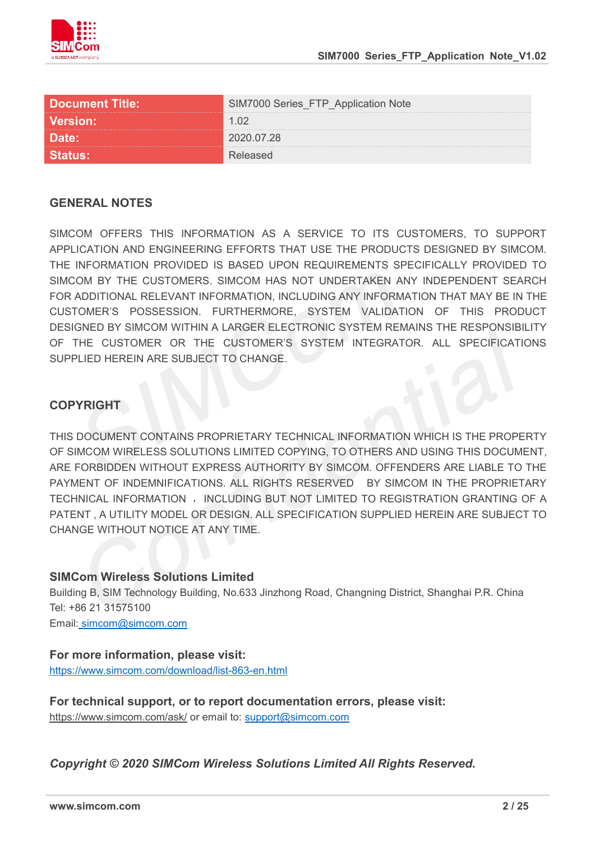

| <b>Document Title:</b> | series FIP.<br><b>Application Note</b> |
|------------------------|----------------------------------------|
| <b>Version:</b>        |                                        |
| יםזגו                  | 2020.07.28                             |
|                        |                                        |

#### **GENERAL NOTES**

SIMCOM OFFERS THIS INFORMATION AS A SERVICE TO ITS CUSTOMERS. TO SUPPORT APPLICATION AND ENGINEERING EFFORTS THAT USE THE PRODUCTS DESIGNED BY SIMCOM. THE INFORMATION PROVIDED IS BASED UPON REQUIREMENTS SPECIFICALLY PROVIDED TO SIMCOM BY THE CUSTOMERS. SIMCOM HAS NOT UNDERTAKEN ANY INDEPENDENT SEARCH FOR ADDITIONAL RELEVANT INFORMATION, INCLUDING ANY INFORMATION THAT MAY BE IN THE CUSTOMER'S POSSESSION. FURTHERMORE, SYSTEM VALIDATION OF THIS PRODUCT DESIGNED BY SIMCOM WITHIN A LARGER ELECTRONIC SYSTEM REMAINS THE RESPONSIBILITY OF THE CUSTOMER OR THE CUSTOMER'S SYSTEM INTEGRATOR. ALL SPECIFICATIONS SUPPLIED HEREIN ARE SUBJECT TO CHANGE.

#### **COPYRIGHT**

THIS DOCUMENT CONTAINS PROPRIETARY TECHNICAL INFORMATION WHICH IS THE PROPERTY OF SIMCOM WIRELESS SOLUTIONS LIMITED COPYING, TO OTHERS AND USING THIS DOCUMENT, ARE FORBIDDEN WITHOUT EXPRESS AUTHORITY BY SIMCOM. OFFENDERS ARE LIABLE TO THE PAYMENT OF INDEMNIFICATIONS. ALL RIGHTS RESERVED BY SIMCOM IN THE PROPRIETARY TECHNICAL INFORMATION , INCLUDING BUT NOT LIMITED TO REGISTRATION GRANTING OF A PATENT , A UTILITY MODEL OR DESIGN. ALL SPECIFICATION SUPPLIED HEREIN ARE SUBJECT TO CHANGE WITHOUT NOTICE AT ANY TIME.

#### **SIMCom Wireless Solutions Limited**

Building B, SIM Technology Building, No.633 Jinzhong Road, Changning District, Shanghai P.R. China Tel: +86 21 31575100

Email: [simcom@simcom.com](mailto:simcom@simcom.com)

#### **For more information, please visit:**

<https://www.simcom.com/download/list-863-en.html>

**For technical support, or to report documentation errors, please visit:** https://www.simcom.com/ask/ or email to: [support@simcom.com](mailto:support@simcom.com)

*Copyright © 2020 SIMCom Wireless Solutions Limited All Rights Reserved.*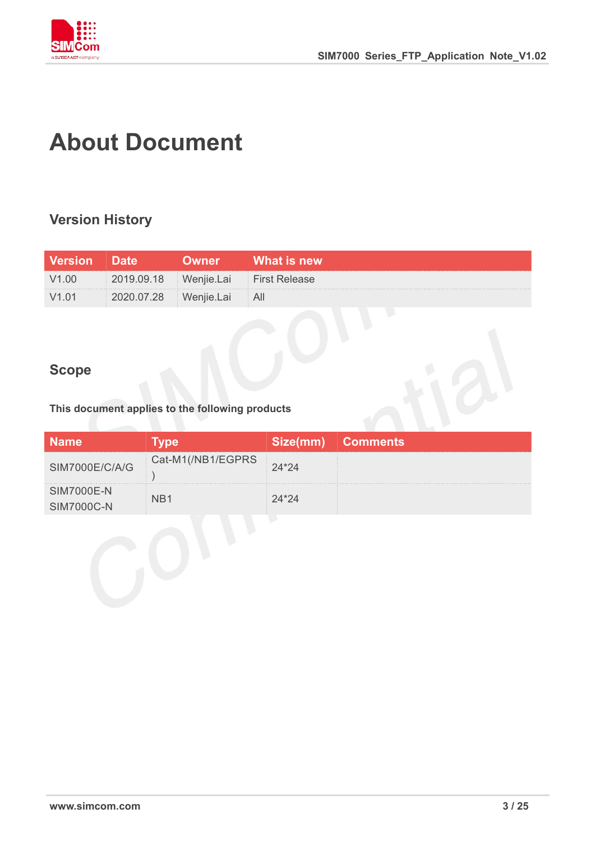

### **About Document**

#### **Version History**

| <b>Version</b> Date |                                     | )wner l    | What is new \ |
|---------------------|-------------------------------------|------------|---------------|
| V1.00               | 2019.09.18 Wenjie.Lai First Release |            |               |
|                     | 2020.07.28                          | Wenjie.Lai |               |

#### **Scope**

**This document applies to the following products**

|                   |                   | Size(mm) | <b>Comments</b> |
|-------------------|-------------------|----------|-----------------|
| SIM7000E/C/A/G    | Cat-M1(/NB1/EGPRS |          |                 |
| <b>SIM7000E-N</b> |                   |          |                 |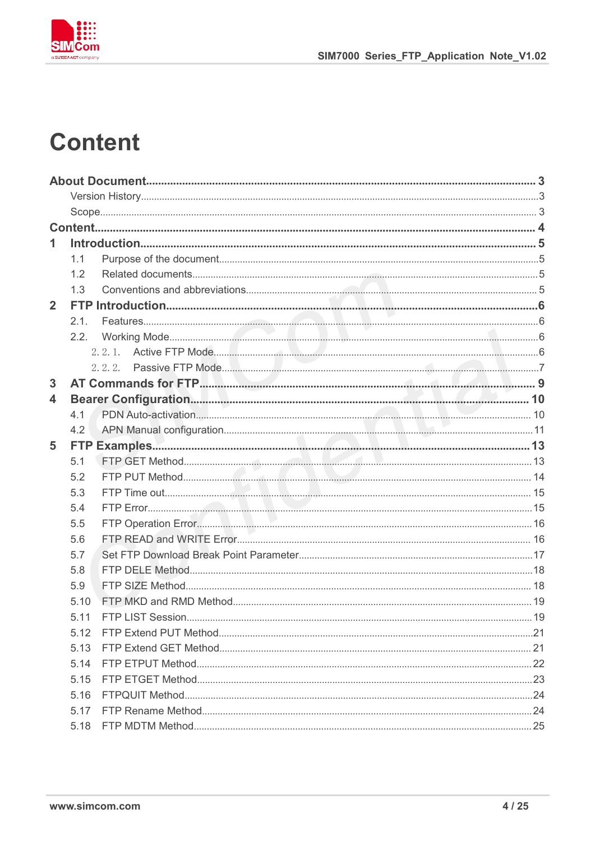

## **Content**

| 1              |      |  |
|----------------|------|--|
|                | 1.1  |  |
|                | 1.2  |  |
|                | 1.3  |  |
| $\overline{2}$ |      |  |
|                | 2.1. |  |
|                | 2.2. |  |
|                |      |  |
|                |      |  |
| 3              |      |  |
| 4              |      |  |
|                | 4.1  |  |
|                | 4.2  |  |
| 5              |      |  |
|                | 5.1  |  |
|                | 5.2  |  |
|                | 5.3  |  |
|                | 5.4  |  |
|                | 5.5  |  |
|                | 5.6  |  |
|                | 5.7  |  |
|                | 5.8  |  |
|                | 5.9  |  |
|                | 5.10 |  |
|                | 5.11 |  |
|                | 5.12 |  |
|                | 5.13 |  |
|                | 5.14 |  |
|                | 5.15 |  |
|                | 5.16 |  |
|                | 5.17 |  |
|                | 5.18 |  |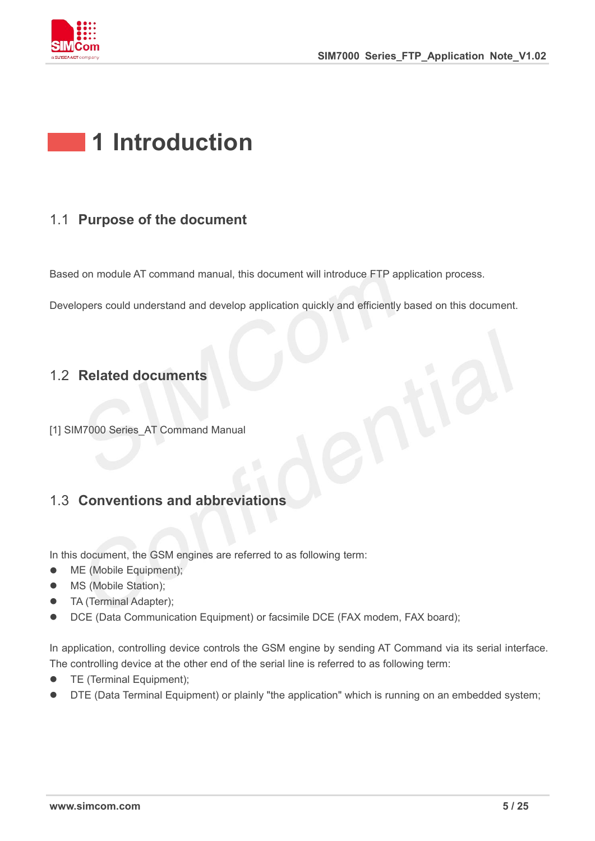

## **1 Introduction**

#### 1.1 **Purpose of the document**

Based on module AT command manual, this document will introduce FTP application process.

Developers could understand and develop application quickly and efficiently based on this document.

#### 1.2 **Related documents**

[1] SIM7000 Series AT Command Manual

#### 1.3 **Conventions and abbreviations**

In this document, the GSM engines are referred to as following term:

- ME (Mobile Equipment);
- MS (Mobile Station);
- TA (Terminal Adapter);
- DCE (Data Communication Equipment) or facsimile DCE (FAX modem, FAX board);

In application, controlling device controls the GSM engine by sending AT Command via its serial interface. The controlling device at the other end of the serial line is referred to as following term:

- **•** TE (Terminal Equipment);
- DTE (Data Terminal Equipment) or plainly "the application" which is running on an embedded system;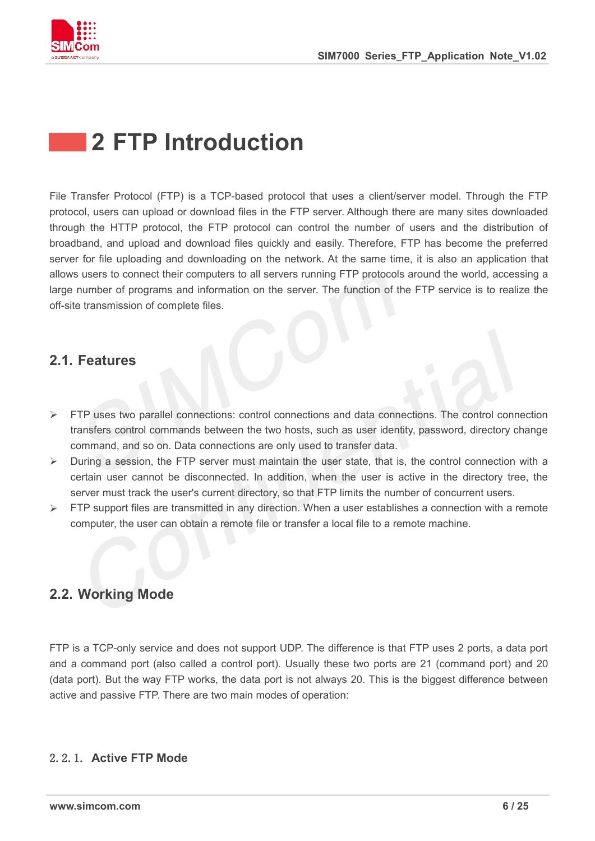

## **2 FTP Introduction**

File Transfer Protocol (FTP) is a TCP-based protocol that uses a client/server model. Through the FTP protocol, users can upload or download files in the FTP server. Although there are many sites downloaded through the HTTP protocol, the FTP protocol can control the number of users and the distribution of broadband, and upload and download files quickly and easily. Therefore, FTP has become the preferred server for file uploading and downloading on the network. At the same time, it is also an application that allows users to connect their computers to all servers running FTP protocols around the world, accessing a large number of programs and information on the server. The function of the FTP service is to realize the off-site transmission of complete files.

#### **2.1. Features**

- $\triangleright$  FTP uses two parallel connections: control connections and data connections. The control connection transfers control commands between the two hosts, such as user identity, password, directory change command, and so on. Data connections are only used to transfer data.
- $\triangleright$  During a session, the FTP server must maintain the user state, that is, the control connection with a certain user cannot be disconnected. In addition, when the useris active in the directory tree, the server must track the user's current directory, so that FTP limits the number of concurrent users.
- $\triangleright$  FTP support files are transmitted in any direction. When a user establishes a connection with a remote computer, the user can obtain a remote file or transfer a local file to a remote machine.

#### **2.2. Working Mode**

FTP is a TCP-only service and does not support UDP. The difference is that FTP uses 2 ports, a data port and a command port (also called a control port). Usually these two ports are 21 (command port) and 20 (data port). But the way FTP works, the data port is not always 20. This is the biggest difference between active and passive FTP. There are two main modes of operation:

#### 2.2.1. **Active FTP Mode**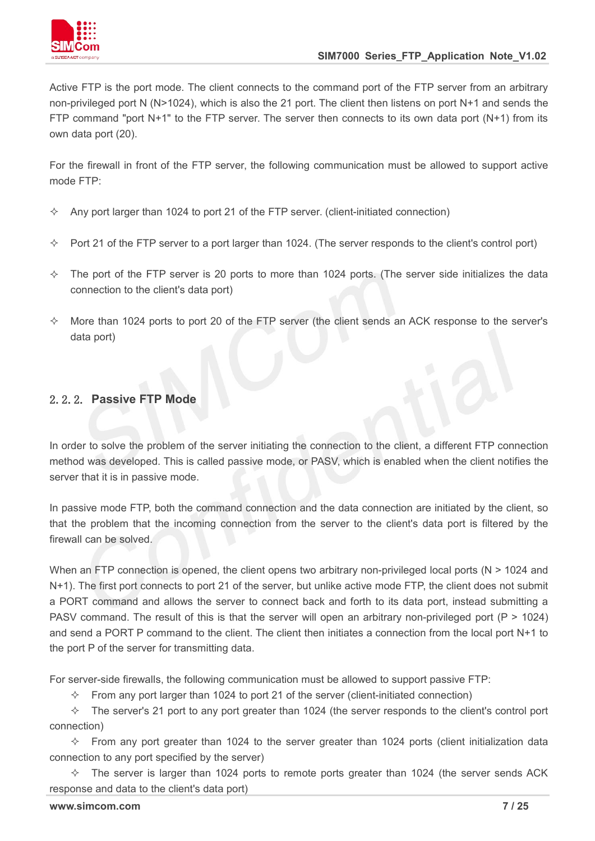

Active FTP is the port mode. The client connects to the command port of the FTP server from an arbitrary non-privileged port N (N>1024), which is also the 21 port. The client then listens on port N+1 and sends the FTP command "port N+1" to the FTP server. The server then connects to its own data port (N+1) from its own data port (20).

For the firewall in front of the FTP server, the following communication must be allowed to support active mode FTP:

- $\Diamond$  Any port larger than 1024 to port 21 of the FTP server. (client-initiated connection)
- $\Diamond$  Port 21 of the FTP server to a port larger than 1024. (The server responds to the client's control port)
- $\div$  The port of the FTP server is 20 ports to more than 1024 ports. (The server side initializes the data connection to the client's data port)
- $\Diamond$  More than 1024 ports to port 20 of the FTP server (the client sends an ACK response to the server's data port)

#### 2.2.2. **Passive FTP Mode**

In order to solve the problem of the server initiating the connection to the client, a different FTP connection method was developed. This is called passive mode, or PASV, which is enabled when the client notifies the server that it is in passive mode.

In passive mode FTP, both the command connection and the data connection are initiated by the client, so that the problem that the incoming connection from the server to the client's data port is filtered by the firewall can be solved.

When an FTP connection is opened, the client opens two arbitrary non-privileged local ports ( $N > 1024$  and N+1). The first port connects to port 21 of the server, but unlike active mode FTP, the client does not submit a PORT command and allows the server to connect back and forth to its data port, instead submitting a PASV command. The result of this is that the server will open an arbitrary non-privileged port (P > 1024) and send a PORT P command to the client. The client then initiates a connection from the local port  $N+1$  to the port P of the server for transmitting data.

For server-side firewalls, the following communication must be allowed to support passive FTP:

 $\div$  From any port larger than 1024 to port 21 of the server (client-initiated connection)

 $\Diamond$  The server's 21 port to any port greater than 1024 (the server responds to the client's control port connection)

 $\Diamond$  From any port greater than 1024 to the server greater than 1024 ports (client initialization data connection to any port specified by the server)

 $\div$  The server is larger than 1024 ports to remote ports greater than 1024 (the server sends ACK response and data to the client's data port)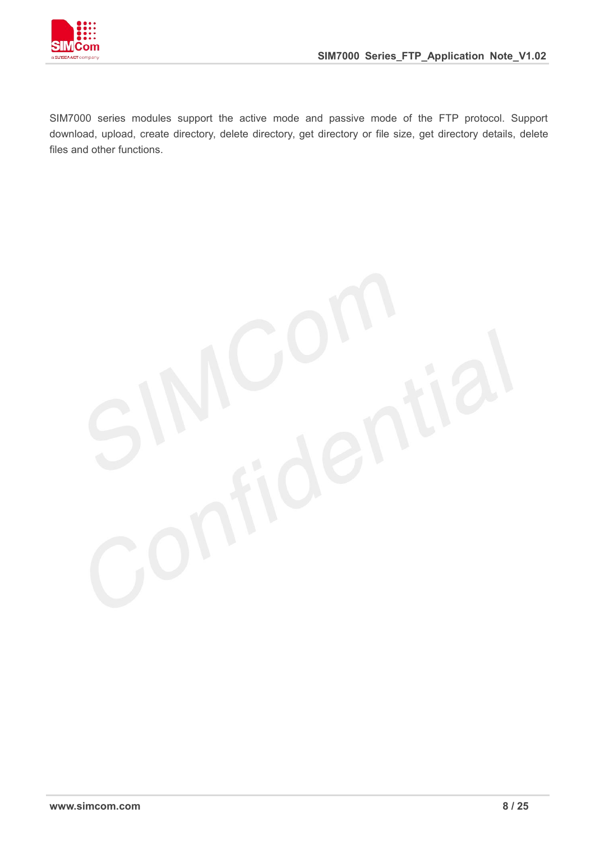

SIM7000 series modules support the active mode and passive mode of the FTP protocol. Support download, upload, create directory, delete directory, get directory or file size, get directory details, delete files and other functions.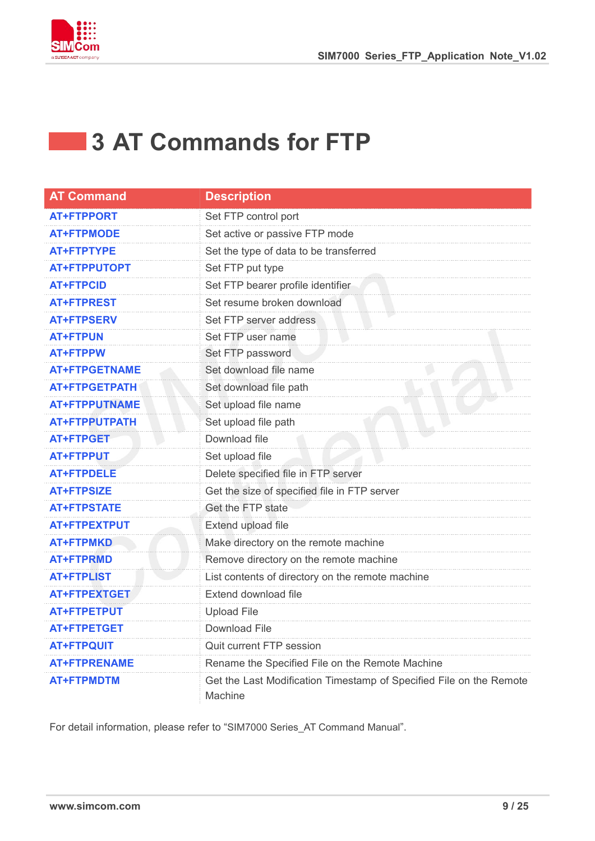

### **3 AT Commands for FTP**

| <b>AT Command</b>    | <b>Description</b>                                                             |
|----------------------|--------------------------------------------------------------------------------|
| <b>AT+FTPPORT</b>    | Set FTP control port                                                           |
| <b>AT+FTPMODE</b>    | Set active or passive FTP mode                                                 |
| <b>AT+FTPTYPE</b>    | Set the type of data to be transferred                                         |
| <b>AT+FTPPUTOPT</b>  | Set FTP put type                                                               |
| <b>AT+FTPCID</b>     | Set FTP bearer profile identifier                                              |
| <b>AT+FTPREST</b>    | Set resume broken download                                                     |
| <b>AT+FTPSERV</b>    | Set FTP server address                                                         |
| <b>AT+FTPUN</b>      | Set FTP user name                                                              |
| <b>AT+FTPPW</b>      | Set FTP password                                                               |
| <b>AT+FTPGETNAME</b> | Set download file name                                                         |
| <b>AT+FTPGETPATH</b> | Set download file path                                                         |
| <b>AT+FTPPUTNAME</b> | Set upload file name                                                           |
| <b>AT+FTPPUTPATH</b> | Set upload file path                                                           |
| <b>AT+FTPGET</b>     | Download file                                                                  |
| <b>AT+FTPPUT</b>     | Set upload file                                                                |
| <b>AT+FTPDELE</b>    | Delete specified file in FTP server                                            |
| <b>AT+FTPSIZE</b>    | Get the size of specified file in FTP server                                   |
| <b>AT+FTPSTATE</b>   | Get the FTP state                                                              |
| <b>AT+FTPEXTPUT</b>  | Extend upload file                                                             |
| <b>AT+FTPMKD</b>     | Make directory on the remote machine                                           |
| <b>AT+FTPRMD</b>     | Remove directory on the remote machine                                         |
| <b>AT+FTPLIST</b>    | List contents of directory on the remote machine                               |
| <b>AT+FTPEXTGET</b>  | Extend download file                                                           |
| <b>AT+FTPETPUT</b>   | <b>Upload File</b>                                                             |
| <b>AT+FTPETGET</b>   | <b>Download File</b>                                                           |
| <b>AT+FTPQUIT</b>    | Quit current FTP session                                                       |
| <b>AT+FTPRENAME</b>  | Rename the Specified File on the Remote Machine                                |
| <b>AT+FTPMDTM</b>    | Get the Last Modification Timestamp of Specified File on the Remote<br>Machine |

For detail information, please refer to "SIM7000 Series\_AT Command Manual".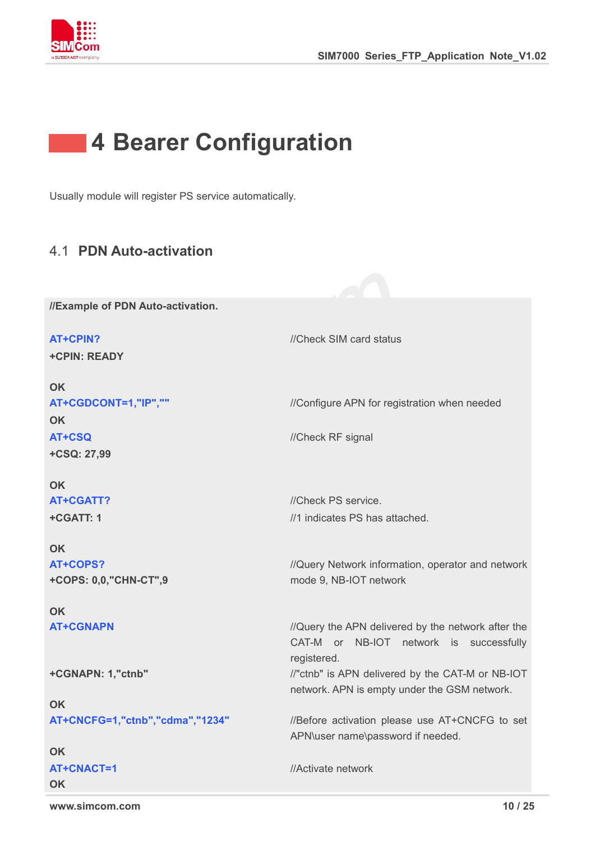



Usually module will register PS service automatically.

#### 4.1 **PDN Auto-activation**

**//Example of PDN Auto-activation.**

**AT+CPIN?** *//Check SIM card status* **+CPIN: READY OK AT+CGDCONT=1,"IP",""** ///Configure APN for registration when needed **OK AT+CSQ** //Check RF signal **+CSQ: 27,99 OK AT+CGATT?** //Check PS service. **+CGATT: 1 OK** //1 indicates PS has attached. **AT+COPS? +COPS: 0,0,"CHN-CT",9 OK** //Query Network information, operator and network mode 9, NB-IOT network **AT+CGNAPN** *//Query the APN delivered by the network after the* CAT-M or NB-IOT network is successfully registered. **+CGNAPN: 1,"ctnb" OK** //"ctnb" is APN delivered by the CAT-M or NB-IOT network. APN is empty under the GSM network. **AT+CNCFG=1,"ctnb","cdma","1234"** //Before activation please use AT+CNCFG to set APN\user name\password if needed. **OK AT+CNACT=1 OK** //Activate network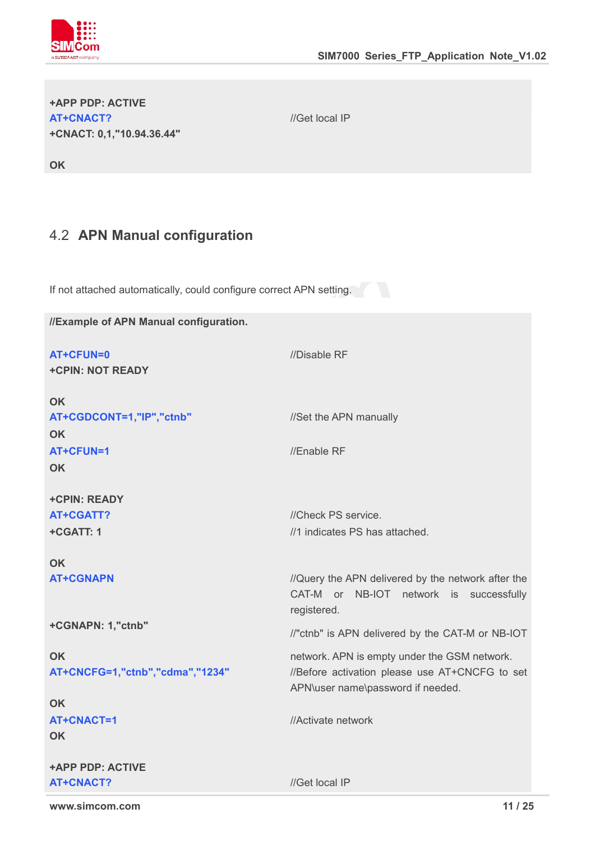

| <b>+APP PDP: ACTIVE</b>   |  |
|---------------------------|--|
| AT+CNACT?                 |  |
| +CNACT: 0,1,"10.94.36.44" |  |

**OK**

//Get local IP

4.2 **APN Manual configuration**

If not attached automatically, could configure correct APN setting.

**//Example of APN Manual configuration. AT+CFUN=0** //Disable RF **+CPIN: NOT READY OK** AT+CGDCONT=1,"IP","ctnb" //Set the APN manually **OK AT+CFUN=1** //Enable RF **OK +CPIN: READY AT+CGATT?** //Check PS service. **+CGATT: 1 OK** //1 indicates PS has attached. **AT+CGNAPN** *//Query the APN delivered by the network after the* CAT-M or NB-IOT network is successfully registered. **+CGNAPN: 1,"ctnb" OK** //"ctnb" is APN delivered by the CAT-M or NB-IOT network. APN is empty under the GSM network. **AT+CNCFG=1,"ctnb","cdma","1234"** //Before activation please use AT+CNCFG to set APN\user name\password if needed. **OK AT+CNACT=1 OK +APP PDP: ACTIVE** //Activate network **AT+CNACT?** //Get local IP

**www.simcom.com 11 / 25**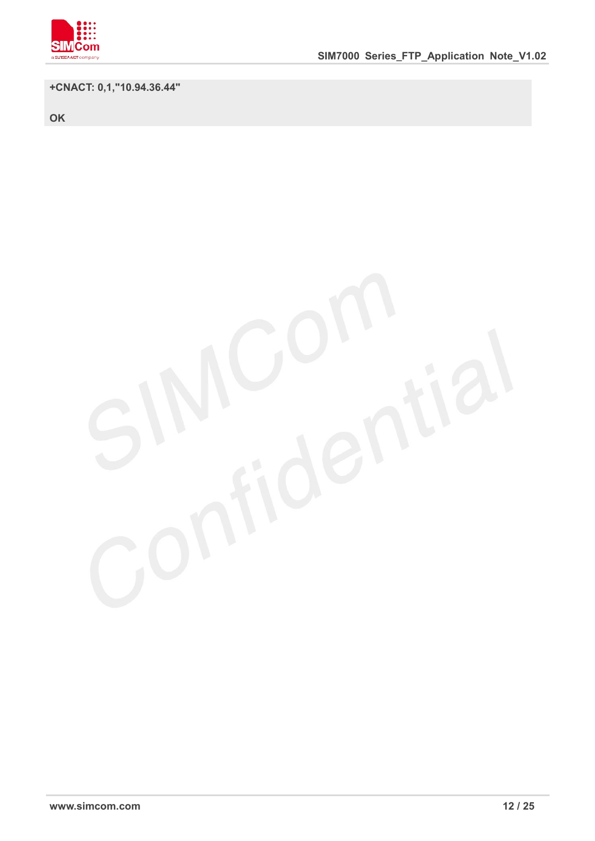

#### **+CNACT: 0,1,"10.94.36.44"**

**OK**

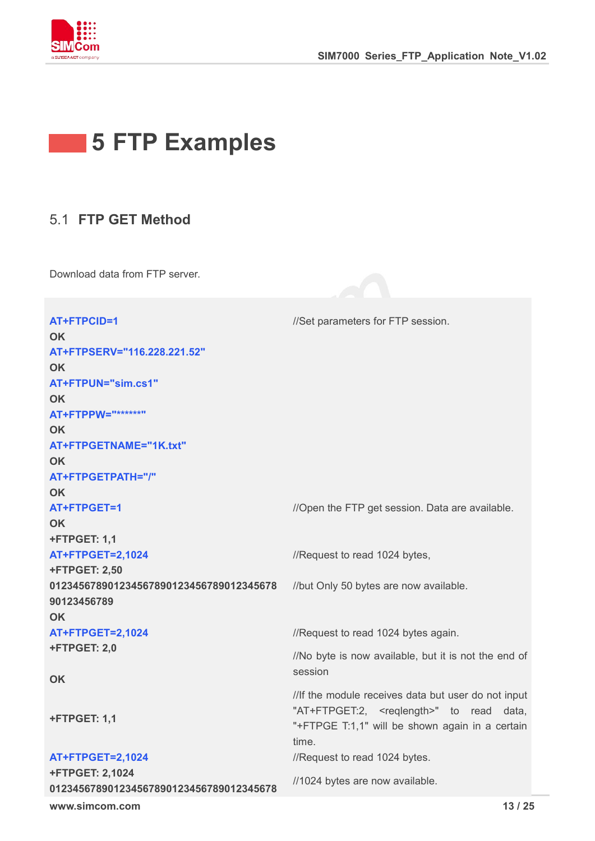

## **5 FTP Examples**

#### 5.1 **FTP GET Method**

Download data from FTP server.

| AT+FTPCID=1                             | //Set parameters for FTP session.                    |  |
|-----------------------------------------|------------------------------------------------------|--|
| <b>OK</b>                               |                                                      |  |
| AT+FTPSERV="116.228.221.52"             |                                                      |  |
| <b>OK</b>                               |                                                      |  |
| AT+FTPUN="sim.cs1"                      |                                                      |  |
| <b>OK</b>                               |                                                      |  |
| AT+FTPPW="******"                       |                                                      |  |
| <b>OK</b>                               |                                                      |  |
| AT+FTPGETNAME="1K.txt"                  |                                                      |  |
| <b>OK</b>                               |                                                      |  |
| AT+FTPGETPATH="/"                       |                                                      |  |
| OK                                      |                                                      |  |
| AT+FTPGET=1                             | //Open the FTP get session. Data are available.      |  |
| <b>OK</b>                               |                                                      |  |
| <b>+FTPGET: 1,1</b>                     |                                                      |  |
| <b>AT+FTPGET=2,1024</b>                 | //Request to read 1024 bytes,                        |  |
| <b>+FTPGET: 2,50</b>                    |                                                      |  |
| 012345678901234567890123456789012345678 | //but Only 50 bytes are now available.               |  |
| 90123456789                             |                                                      |  |
| <b>OK</b>                               |                                                      |  |
| <b>AT+FTPGET=2,1024</b>                 | //Request to read 1024 bytes again.                  |  |
| <b>+FTPGET: 2,0</b>                     | //No byte is now available, but it is not the end of |  |
| <b>OK</b>                               | session                                              |  |
|                                         | //If the module receives data but user do not input  |  |
|                                         | "AT+FTPGET:2, <reqlength>" to read data,</reqlength> |  |
| <b>+FTPGET: 1,1</b>                     | "+FTPGE T:1,1" will be shown again in a certain      |  |
|                                         | time.                                                |  |
| <b>AT+FTPGET=2,1024</b>                 | //Request to read 1024 bytes.                        |  |
| <b>+FTPGET: 2,1024</b>                  |                                                      |  |
| 012345678901234567890123456789012345678 | //1024 bytes are now available.                      |  |
| www.simcom.com                          | 13/25                                                |  |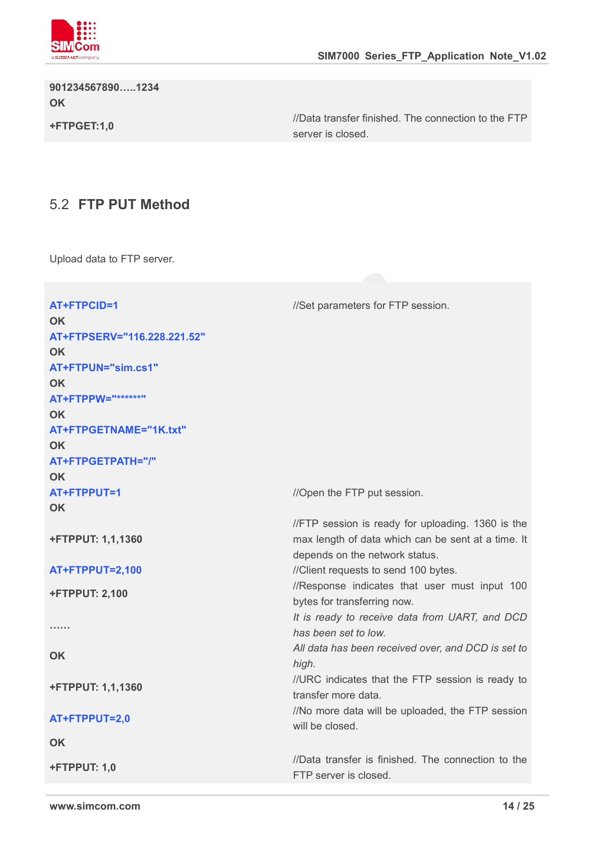

**901234567890…..1234 OK**

**+FTPGET:1,0**

//Data transfer finished. The connection to the FTP server is closed.

#### 5.2 **FTP PUT Method**

Upload data to FTP server.

| AT+FTPCID=1                     | //Set parameters for FTP session.                                            |
|---------------------------------|------------------------------------------------------------------------------|
| <b>OK</b>                       |                                                                              |
| AT+FTPSERV="116.228.221.52"     |                                                                              |
| <b>OK</b><br>AT+FTPUN="sim.cs1" |                                                                              |
| <b>OK</b>                       |                                                                              |
| AT+FTPPW="******"               |                                                                              |
| <b>OK</b>                       |                                                                              |
| AT+FTPGETNAME="1K.txt"          |                                                                              |
| OK                              |                                                                              |
| AT+FTPGETPATH="/"               |                                                                              |
| <b>OK</b>                       |                                                                              |
| AT+FTPPUT=1                     | //Open the FTP put session.                                                  |
| <b>OK</b>                       |                                                                              |
|                                 | //FTP session is ready for uploading. 1360 is the                            |
| <b>+FTPPUT: 1,1,1360</b>        | max length of data which can be sent at a time. It                           |
|                                 | depends on the network status.                                               |
| <b>AT+FTPPUT=2,100</b>          | //Client requests to send 100 bytes.                                         |
| <b>+FTPPUT: 2,100</b>           | //Response indicates that user must input 100<br>bytes for transferring now. |
|                                 | It is ready to receive data from UART, and DCD                               |
| .                               | has been set to low.                                                         |
|                                 | All data has been received over, and DCD is set to                           |
| <b>OK</b>                       | high.                                                                        |
| <b>+FTPPUT: 1,1,1360</b>        | //URC indicates that the FTP session is ready to                             |
|                                 | transfer more data.                                                          |
| AT+FTPPUT=2,0                   | //No more data will be uploaded, the FTP session                             |
|                                 | will be closed.                                                              |
| <b>OK</b>                       |                                                                              |
| <b>+FTPPUT: 1,0</b>             | //Data transfer is finished. The connection to the                           |
|                                 | FTP server is closed.                                                        |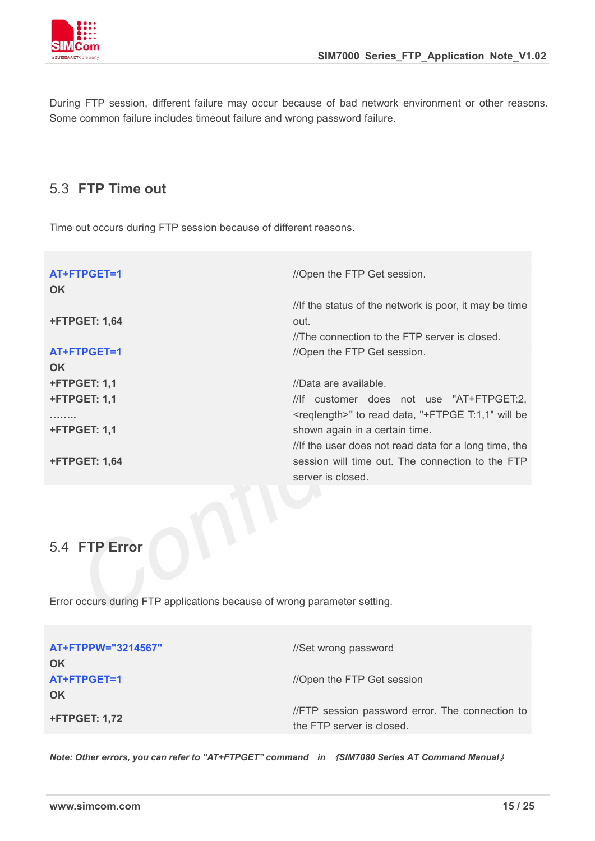

During FTP session, different failure may occur because of bad network environment or other reasons. Some common failure includes timeout failure and wrong password failure.

#### 5.3 **FTP Time out**

Time out occurs during FTP session because of different reasons.

| AT+FTPGET=1<br><b>OK</b> | //Open the FTP Get session.                                   |
|--------------------------|---------------------------------------------------------------|
|                          | //If the status of the network is poor, it may be time        |
| <b>+FTPGET: 1,64</b>     | out.                                                          |
|                          | //The connection to the FTP server is closed.                 |
| AT+FTPGET=1              | //Open the FTP Get session.                                   |
| <b>OK</b>                |                                                               |
| +FTPGET: 1,1             | //Data are available.                                         |
| +FTPGET: 1,1             | //lf customer does not use "AT+FTPGET:2,                      |
| .                        | <reqlength>" to read data, "+FTPGE T:1,1" will be</reqlength> |
| +FTPGET: 1,1             | shown again in a certain time.                                |
|                          | //If the user does not read data for a long time, the         |
| <b>+FTPGET: 1,64</b>     | session will time out. The connection to the FTP              |
|                          | server is closed.                                             |
|                          |                                                               |
|                          |                                                               |
|                          |                                                               |
| 5.4<br>Error             |                                                               |
|                          |                                                               |

Error occurs during FTP applications because of wrong parameter setting.

| AT+FTPPW="3214567"<br>OK | //Set wrong password                                                         |  |
|--------------------------|------------------------------------------------------------------------------|--|
| AT+FTPGET=1<br>OK        | //Open the FTP Get session                                                   |  |
| <b>+FTPGET: 1,72</b>     | //FTP session password error. The connection to<br>the FTP server is closed. |  |

*Note: Other errors, you can refer to "AT+FTPGET" command in* 《*SIM7080 Series AT Command Manual*》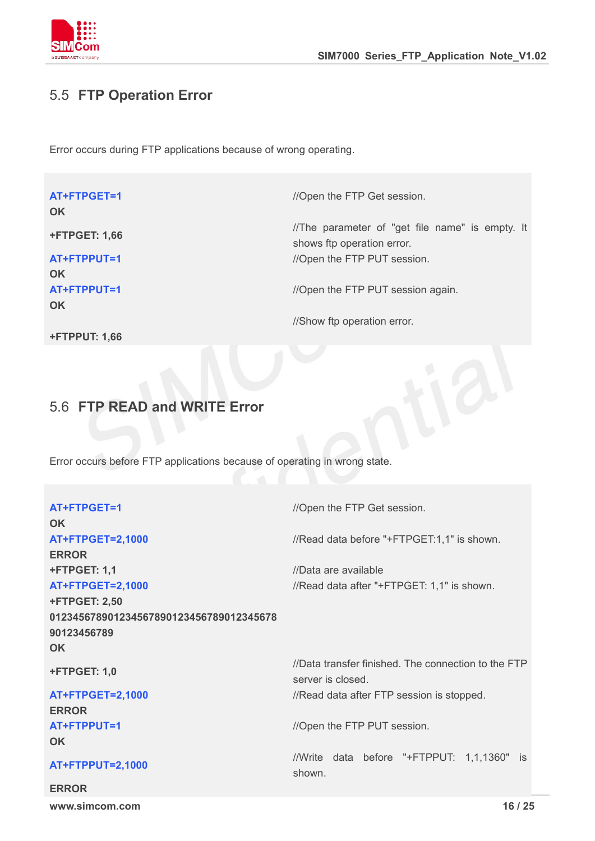

#### 5.5 **FTP Operation Error**

Error occurs during FTP applications because of wrong operating.

| AT+FTPGET=1<br><b>OK</b> | //Open the FTP Get session.                                                   |
|--------------------------|-------------------------------------------------------------------------------|
| <b>+FTPGET: 1,66</b>     | //The parameter of "get file name" is empty. It<br>shows ftp operation error. |
| AT+FTPPUT=1              | //Open the FTP PUT session.                                                   |
| <b>OK</b>                |                                                                               |
| AT+FTPPUT=1              | //Open the FTP PUT session again.                                             |
| <b>OK</b>                |                                                                               |
|                          | //Show ftp operation error.                                                   |
| <b>+FTPPUT: 1,66</b>     |                                                                               |

#### 5.6 **FTP READ and WRITE Error**

Error occurs before FTP applications because of operating in wrong state.

| AT+FTPGET=1                             | //Open the FTP Get session.                                              |
|-----------------------------------------|--------------------------------------------------------------------------|
| <b>OK</b>                               |                                                                          |
| <b>AT+FTPGET=2,1000</b>                 | //Read data before "+FTPGET:1,1" is shown.                               |
| <b>ERROR</b>                            |                                                                          |
| <b>+FTPGET: 1,1</b>                     | //Data are available                                                     |
| <b>AT+FTPGET=2,1000</b>                 | //Read data after "+FTPGET: 1,1" is shown.                               |
| <b>+FTPGET: 2,50</b>                    |                                                                          |
| 012345678901234567890123456789012345678 |                                                                          |
| 90123456789                             |                                                                          |
| <b>OK</b>                               |                                                                          |
| <b>+FTPGET: 1,0</b>                     | //Data transfer finished. The connection to the FTP<br>server is closed. |
| <b>AT+FTPGET=2,1000</b>                 | //Read data after FTP session is stopped.                                |
| <b>ERROR</b>                            |                                                                          |
| AT+FTPPUT=1                             | //Open the FTP PUT session.                                              |
| <b>OK</b>                               |                                                                          |
| AT+FTPPUT=2,1000                        | //Write data before "+FTPPUT: 1,1,1360" is<br>shown.                     |
| <b>ERROR</b>                            |                                                                          |
| www.simcom.com                          | 16 / 25                                                                  |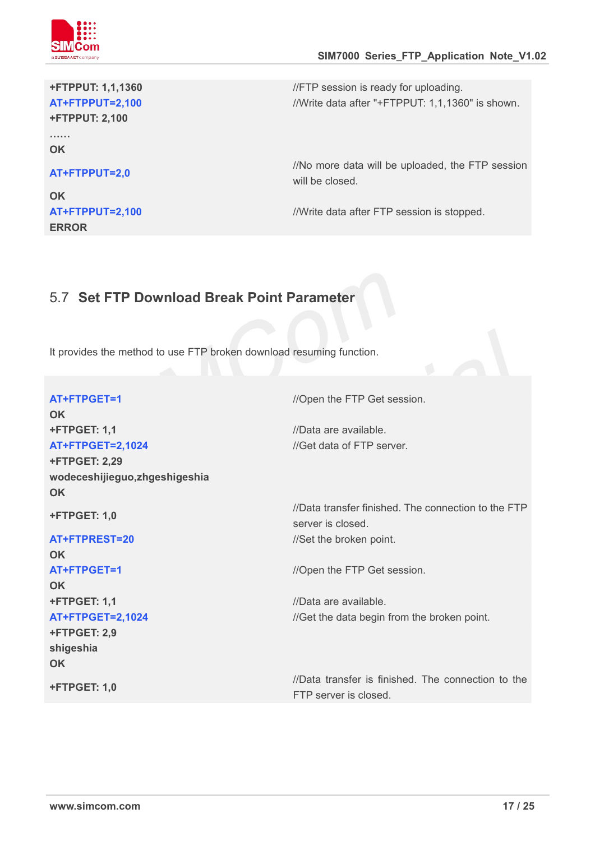

## **+FTPPUT: 2,100**

**…… OK**

#### **AT+FTPPUT=2,0**

**OK ERROR**

**+FTPPUT: 1,1,1360** //FTP session is ready for uploading. **AT+FTPPUT=2,100** //Write data after "+FTPPUT: 1,1,1360" is shown.

> //No more data will be uploaded, the FTP session will be closed.

**AT+FTPPUT=2,100** //Write data after FTP session is stopped.

#### 5.7 **Set FTP Download Break Point Parameter**

It provides the method to use FTP broken download resuming function.

| AT+FTPGET=1                    | //Open the FTP Get session.                                              |
|--------------------------------|--------------------------------------------------------------------------|
| <b>OK</b>                      |                                                                          |
| <b>+FTPGET: 1,1</b>            | //Data are available.                                                    |
| <b>AT+FTPGET=2,1024</b>        | //Get data of FTP server.                                                |
| <b>+FTPGET: 2,29</b>           |                                                                          |
| wodeceshijieguo, zhgeshigeshia |                                                                          |
| <b>OK</b>                      |                                                                          |
| <b>+FTPGET: 1,0</b>            | //Data transfer finished. The connection to the FTP<br>server is closed. |
| AT+FTPREST=20                  | //Set the broken point.                                                  |
| <b>OK</b>                      |                                                                          |
| AT+FTPGET=1                    | //Open the FTP Get session.                                              |
| <b>OK</b>                      |                                                                          |
| <b>+FTPGET: 1,1</b>            | //Data are available.                                                    |
| <b>AT+FTPGET=2,1024</b>        | //Get the data begin from the broken point.                              |
| +FTPGET: 2,9                   |                                                                          |
| shigeshia                      |                                                                          |
| OK                             |                                                                          |
| <b>+FTPGET: 1,0</b>            | //Data transfer is finished. The connection to the                       |
|                                | FTP server is closed.                                                    |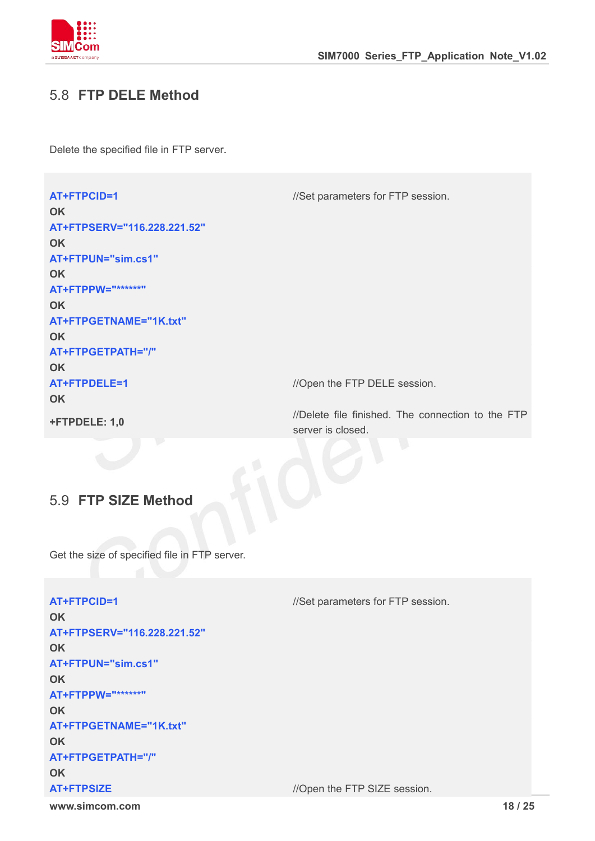

#### 5.8 **FTP DELE Method**

Delete the specified file in FTP server.

**AT+FTPCID=1** //Set parameters for FTP session. **OK AT+FTPSERV="116.228.221.52" OK AT+FTPUN="sim.cs1" OK AT+FTPPW="\*\*\*\*\*\*" OK AT+FTPGETNAME="1K.txt" OK AT+FTPGETPATH="/" OK AT+FTPDELE=1** //Open the FTP DELE session. **OK +FTPDELE: 1,0** //Delete file finished. The connection to the FTP server is closed.

#### 5.9 **FTP SIZE Method**

Get the size of specified file in FTP server.

**www.simcom.com 18 / 25 AT+FTPCID=1** //Set parameters for FTP session. **OK AT+FTPSERV="116.228.221.52" OK AT+FTPUN="sim.cs1" OK AT+FTPPW="\*\*\*\*\*\*" OK AT+FTPGETNAME="1K.txt" OK AT+FTPGETPATH="/" OK AT+FTPSIZE** *//Open the FTP SIZE session.*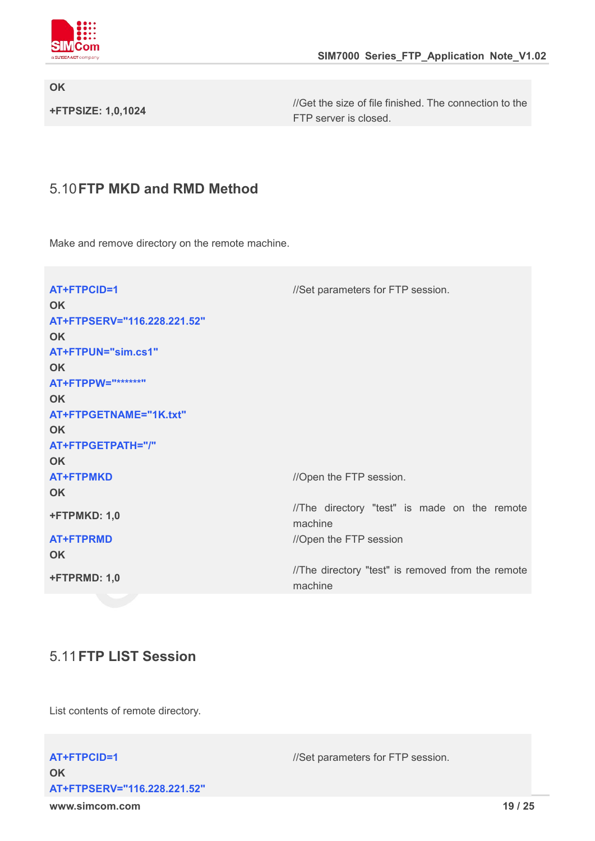

**OK**

**+FTPSIZE: 1,0,1024**

//Get the size of file finished. The connection to the FTP server is closed.

#### 5.10**FTP MKD and RMD Method**

Make and remove directory on the remote machine.

| AT+FTPCID=1                 | //Set parameters for FTP session.                            |
|-----------------------------|--------------------------------------------------------------|
| <b>OK</b>                   |                                                              |
| AT+FTPSERV="116.228.221.52" |                                                              |
| <b>OK</b>                   |                                                              |
| AT+FTPUN="sim.cs1"          |                                                              |
| <b>OK</b>                   |                                                              |
| AT+FTPPW="******"           |                                                              |
| <b>OK</b>                   |                                                              |
| AT+FTPGETNAME="1K.txt"      |                                                              |
| <b>OK</b>                   |                                                              |
| AT+FTPGETPATH="/"           |                                                              |
| <b>OK</b>                   |                                                              |
| <b>AT+FTPMKD</b>            | //Open the FTP session.                                      |
| <b>OK</b>                   |                                                              |
| +FTPMKD: 1,0                | //The directory "test" is made on the remote<br>machine      |
| <b>AT+FTPRMD</b>            | //Open the FTP session                                       |
| <b>OK</b>                   |                                                              |
| +FTPRMD: 1,0                | //The directory "test" is removed from the remote<br>machine |

#### 5.11**FTP LIST Session**

List contents of remote directory.

**www.simcom.com 19 / 25 OK AT+FTPSERV="116.228.221.52"**

**AT+FTPCID=1** //Set parameters for FTP session.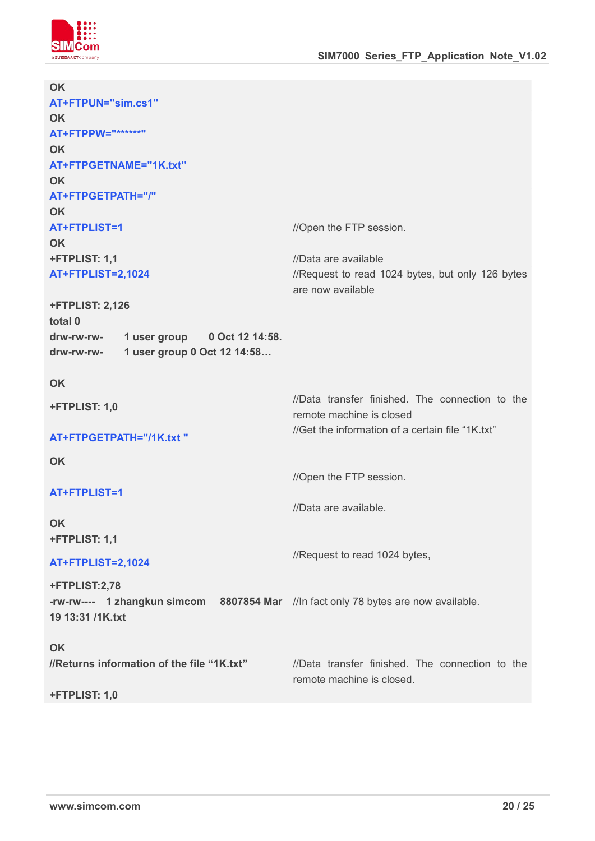

| <b>OK</b>                                                                           |                                                  |
|-------------------------------------------------------------------------------------|--------------------------------------------------|
| AT+FTPUN="sim.cs1"                                                                  |                                                  |
| <b>OK</b>                                                                           |                                                  |
| AT+FTPPW="******"                                                                   |                                                  |
| <b>OK</b>                                                                           |                                                  |
| AT+FTPGETNAME="1K.txt"                                                              |                                                  |
| <b>OK</b>                                                                           |                                                  |
| AT+FTPGETPATH="/"                                                                   |                                                  |
| <b>OK</b>                                                                           |                                                  |
| AT+FTPLIST=1                                                                        | //Open the FTP session.                          |
| <b>OK</b>                                                                           |                                                  |
| +FTPLIST: 1,1                                                                       | //Data are available                             |
| <b>AT+FTPLIST=2,1024</b>                                                            | //Request to read 1024 bytes, but only 126 bytes |
|                                                                                     | are now available                                |
| <b>+FTPLIST: 2,126</b>                                                              |                                                  |
| total 0                                                                             |                                                  |
| 1 user group 0 Oct 12 14:58.<br>drw-rw-rw-                                          |                                                  |
| 1 user group 0 Oct 12 14:58<br>drw-rw-rw-                                           |                                                  |
| OK                                                                                  |                                                  |
| +FTPLIST: 1,0                                                                       | //Data transfer finished. The connection to the  |
|                                                                                     | remote machine is closed                         |
| AT+FTPGETPATH="/1K.txt "                                                            | //Get the information of a certain file "1K.txt" |
|                                                                                     |                                                  |
| OK                                                                                  |                                                  |
|                                                                                     | //Open the FTP session.                          |
| AT+FTPLIST=1                                                                        |                                                  |
|                                                                                     | //Data are available.                            |
| OK                                                                                  |                                                  |
| +FTPLIST: 1,1                                                                       |                                                  |
| <b>AT+FTPLIST=2,1024</b>                                                            | //Request to read 1024 bytes,                    |
| +FTPLIST:2,78                                                                       |                                                  |
| -rw-rw---- 1 zhangkun simcom 8807854 Mar //ln fact only 78 bytes are now available. |                                                  |
| 19 13:31 /1K.txt                                                                    |                                                  |
| OK                                                                                  |                                                  |
| //Returns information of the file "1K.txt"                                          | //Data transfer finished. The connection to the  |
|                                                                                     | remote machine is closed.                        |
| +FTPLIST: 1,0                                                                       |                                                  |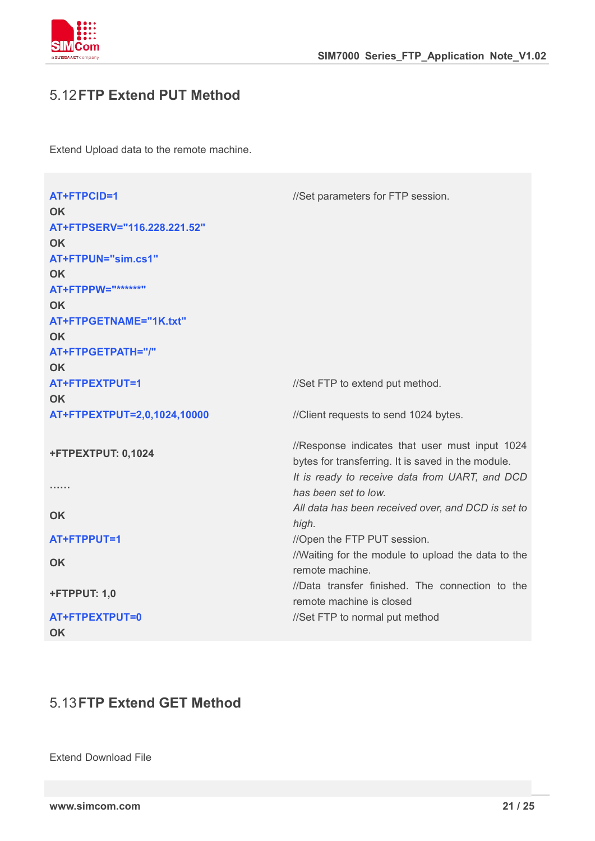

#### 5.12**FTP Extend PUT Method**

Extend Upload data to the remote machine.

| AT+FTPCID=1                 | //Set parameters for FTP session.                  |
|-----------------------------|----------------------------------------------------|
| <b>OK</b>                   |                                                    |
| AT+FTPSERV="116.228.221.52" |                                                    |
| <b>OK</b>                   |                                                    |
| AT+FTPUN="sim.cs1"          |                                                    |
| <b>OK</b>                   |                                                    |
| AT+FTPPW="******"           |                                                    |
| <b>OK</b>                   |                                                    |
| AT+FTPGETNAME="1K.txt"      |                                                    |
| <b>OK</b>                   |                                                    |
| AT+FTPGETPATH="/"           |                                                    |
| <b>OK</b>                   |                                                    |
| AT+FTPEXTPUT=1              | //Set FTP to extend put method.                    |
| <b>OK</b>                   |                                                    |
| AT+FTPEXTPUT=2,0,1024,10000 | //Client requests to send 1024 bytes.              |
|                             |                                                    |
| +FTPEXTPUT: 0,1024          | //Response indicates that user must input 1024     |
|                             | bytes for transferring. It is saved in the module. |
|                             | It is ready to receive data from UART, and DCD     |
|                             | has been set to low.                               |
| <b>OK</b>                   | All data has been received over, and DCD is set to |
|                             | high.                                              |
| AT+FTPPUT=1                 | //Open the FTP PUT session.                        |
| <b>OK</b>                   | //Waiting for the module to upload the data to the |
|                             | remote machine.                                    |
| +FTPPUT: 1,0                | //Data transfer finished. The connection to the    |
|                             | remote machine is closed                           |
| AT+FTPEXTPUT=0              | //Set FTP to normal put method                     |
| <b>OK</b>                   |                                                    |

#### 5.13**FTP Extend GET Method**

Extend Download File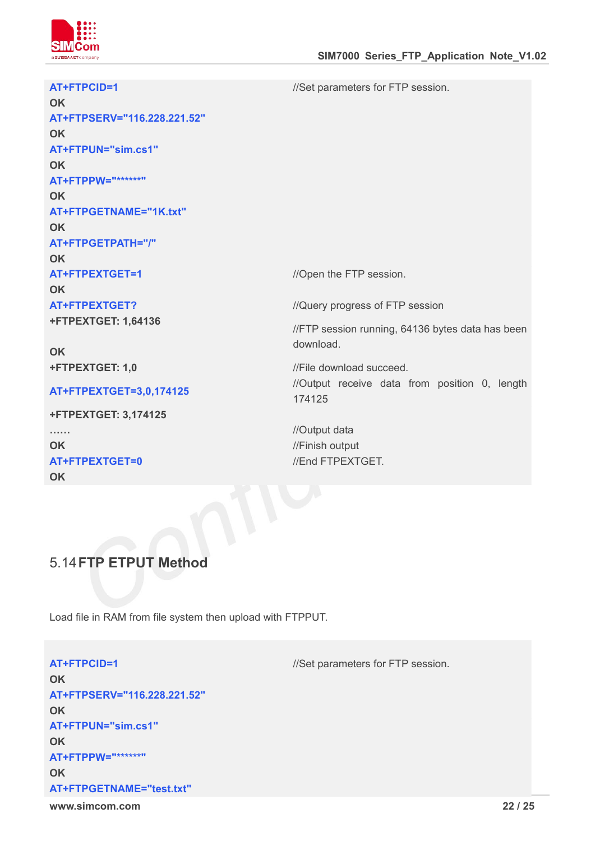

| AT+FTPCID=1<br><b>OK</b><br>AT+FTPSERV="116.228.221.52"<br><b>OK</b><br>AT+FTPUN="sim.cs1"<br><b>OK</b><br>AT+FTPPW="******"<br><b>OK</b><br>AT+FTPGETNAME="1K.txt"<br><b>OK</b><br>AT+FTPGETPATH="/" | //Set parameters for FTP session.                                                                |  |
|-------------------------------------------------------------------------------------------------------------------------------------------------------------------------------------------------------|--------------------------------------------------------------------------------------------------|--|
| <b>OK</b><br>AT+FTPEXTGET=1<br><b>OK</b>                                                                                                                                                              | //Open the FTP session.                                                                          |  |
| <b>AT+FTPEXTGET?</b><br><b>+FTPEXTGET: 1,64136</b><br><b>OK</b>                                                                                                                                       | //Query progress of FTP session<br>//FTP session running, 64136 bytes data has been<br>download. |  |
| +FTPEXTGET: 1,0                                                                                                                                                                                       | //File download succeed.<br>//Output receive data from position 0, length                        |  |
| AT+FTPEXTGET=3,0,174125<br><b>+FTPEXTGET: 3,174125</b>                                                                                                                                                | 174125                                                                                           |  |
| <b>OK</b><br>AT+FTPEXTGET=0<br><b>OK</b>                                                                                                                                                              | //Output data<br>//Finish output<br>//End FTPEXTGET.                                             |  |
|                                                                                                                                                                                                       |                                                                                                  |  |

#### 5.14**FTP ETPUT Method**

Load file in RAM from file system then upload with FTPPUT.

**www.simcom.com 22 / 25 AT+FTPCID=1** //Set parameters for FTP session. **OK AT+FTPSERV="116.228.221.52" OK AT+FTPUN="sim.cs1" OK AT+FTPPW="\*\*\*\*\*\*" OK AT+FTPGETNAME="test.txt"**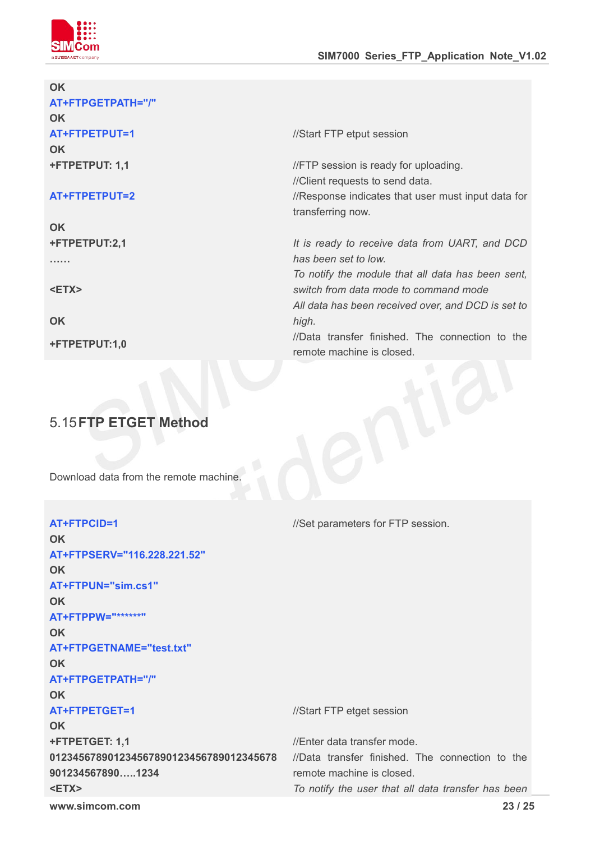

| OK                |                                                    |
|-------------------|----------------------------------------------------|
| AT+FTPGETPATH="/" |                                                    |
| <b>OK</b>         |                                                    |
| AT+FTPETPUT=1     | //Start FTP etput session                          |
| <b>OK</b>         |                                                    |
| +FTPETPUT: 1,1    | //FTP session is ready for uploading.              |
|                   | //Client requests to send data.                    |
| AT+FTPETPUT=2     | //Response indicates that user must input data for |
|                   | transferring now.                                  |
| <b>OK</b>         |                                                    |
| +FTPETPUT:2,1     | It is ready to receive data from UART, and DCD     |
| .                 | has been set to low.                               |
|                   | To notify the module that all data has been sent,  |
| <etx></etx>       | switch from data mode to command mode              |
|                   | All data has been received over, and DCD is set to |
| <b>OK</b>         | high.                                              |
|                   | //Data transfer finished. The connection to the    |
| +FTPETPUT:1,0     | remote machine is closed.                          |
|                   |                                                    |

# 5.15**FTP ETGET Method**

Download data from the remote machine.

| AT+FTPCID=1                             | //Set parameters for FTP session.                  |  |
|-----------------------------------------|----------------------------------------------------|--|
| <b>OK</b>                               |                                                    |  |
| AT+FTPSERV="116.228.221.52"             |                                                    |  |
| <b>OK</b>                               |                                                    |  |
| AT+FTPUN="sim.cs1"                      |                                                    |  |
| <b>OK</b>                               |                                                    |  |
| AT+FTPPW="******"                       |                                                    |  |
| <b>OK</b>                               |                                                    |  |
| AT+FTPGETNAME="test.txt"                |                                                    |  |
| <b>OK</b>                               |                                                    |  |
| AT+FTPGETPATH="/"                       |                                                    |  |
| <b>OK</b>                               |                                                    |  |
| AT+FTPETGET=1                           | //Start FTP etget session                          |  |
| <b>OK</b>                               |                                                    |  |
| +FTPETGET: 1,1                          | //Enter data transfer mode.                        |  |
| 012345678901234567890123456789012345678 | //Data transfer finished. The connection to the    |  |
| 9012345678901234                        | remote machine is closed.                          |  |
| <etx></etx>                             | To notify the user that all data transfer has been |  |
| www.simcom.com                          | 23/25                                              |  |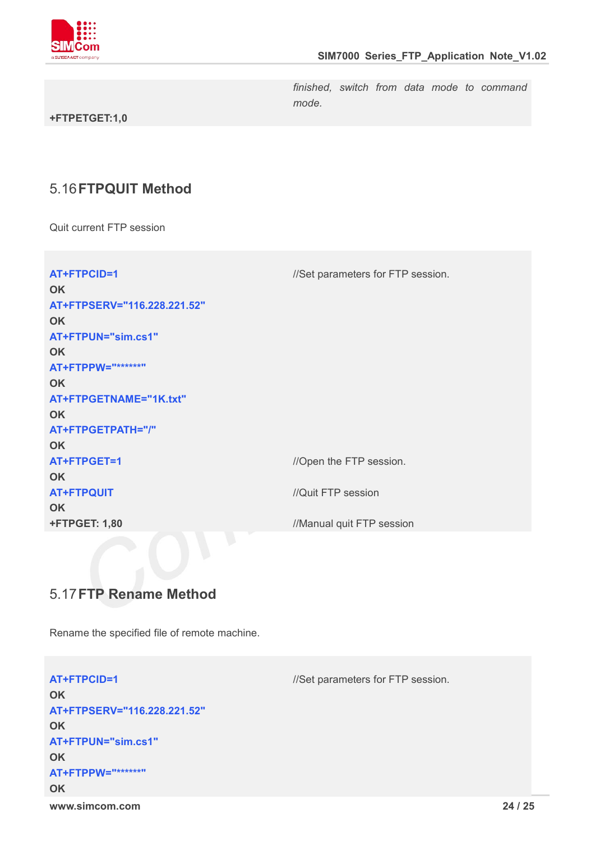

*finished, switch from data mode to command mode.*

#### **+FTPETGET:1,0**

#### 5.16**FTPQUIT Method**

Quit current FTP session

| AT+FTPCID=1<br><b>OK</b><br>AT+FTPSERV="116.228.221.52"<br><b>OK</b><br>AT+FTPUN="sim.cs1"<br><b>OK</b><br>AT+FTPPW="******"<br><b>OK</b><br>AT+FTPGETNAME="1K.txt"<br><b>OK</b><br>AT+FTPGETPATH="/" | //Set parameters for FTP session. |
|-------------------------------------------------------------------------------------------------------------------------------------------------------------------------------------------------------|-----------------------------------|
| <b>OK</b><br>AT+FTPGET=1                                                                                                                                                                              | //Open the FTP session.           |
| <b>OK</b>                                                                                                                                                                                             |                                   |
| <b>AT+FTPQUIT</b>                                                                                                                                                                                     | //Quit FTP session                |
| <b>OK</b>                                                                                                                                                                                             |                                   |
| <b>+FTPGET: 1,80</b>                                                                                                                                                                                  | //Manual quit FTP session         |

#### 5.17**FTP Rename Method**

Rename the specified file of remote machine.

**www.simcom.com 24 / 25 AT+FTPCID=1** //Set parameters for FTP session. **OK AT+FTPSERV="116.228.221.52" OK AT+FTPUN="sim.cs1" OK AT+FTPPW="\*\*\*\*\*\*" OK**